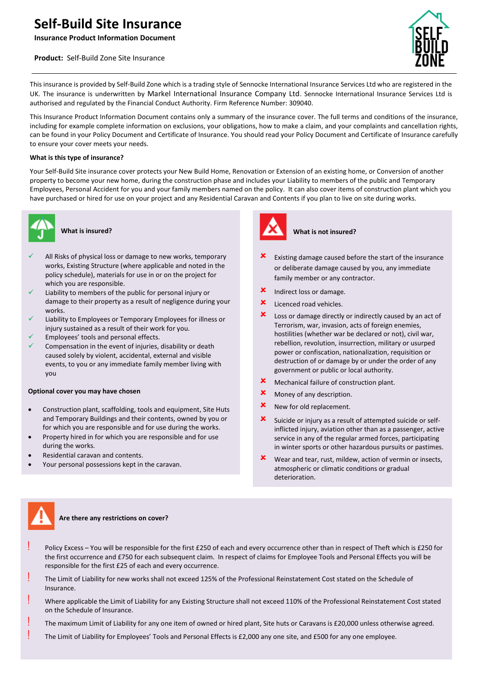# **Self-Build Site Insurance**

**Insurance Product Information Document**

# **Product:** Self-Build Zone Site Insurance



This insurance is provided by Self-Build Zone which is a trading style of Sennocke International Insurance Services Ltd who are registered in the UK. The insurance is underwritten by Markel International Insurance Company Ltd. Sennocke International Insurance Services Ltd is authorised and regulated by the Financial Conduct Authority. Firm Reference Number: 309040.

This Insurance Product Information Document contains only a summary of the insurance cover. The full terms and conditions of the insurance, including for example complete information on exclusions, your obligations, how to make a claim, and your complaints and cancellation rights, can be found in your Policy Document and Certificate of Insurance. You should read your Policy Document and Certificate of Insurance carefully to ensure your cover meets your needs.

## **What is this type of insurance?**

Your Self-Build Site insurance cover protects your New Build Home, Renovation or Extension of an existing home, or Conversion of another property to become your new home, during the construction phase and includes your Liability to members of the public and Temporary Employees, Personal Accident for you and your family members named on the policy. It can also cover items of construction plant which you have purchased or hired for use on your project and any Residential Caravan and Contents if you plan to live on site during works.



# **What is insured?**

- All Risks of physical loss or damage to new works, temporary works, Existing Structure (where applicable and noted in the policy schedule), materials for use in or on the project for which you are responsible.
- Liability to members of the public for personal injury or damage to their property as a result of negligence during your works.
- Liability to Employees or Temporary Employees for illness or injury sustained as a result of their work for you.
- Employees' tools and personal effects.
- Compensation in the event of injuries, disability or death caused solely by violent, accidental, external and visible events, to you or any immediate family member living with you

#### **Optional cover you may have chosen**

- Construction plant, scaffolding, tools and equipment, Site Huts and Temporary Buildings and their contents, owned by you or for which you are responsible and for use during the works.
- Property hired in for which you are responsible and for use during the works.
- Residential caravan and contents.
- Your personal possessions kept in the caravan.



#### **What is not insured?**

- Existing damage caused before the start of the insurance or deliberate damage caused by you, any immediate family member or any contractor.
- **x** Indirect loss or damage.
- **x** Licenced road vehicles.
- Loss or damage directly or indirectly caused by an act of Terrorism, war, invasion, acts of foreign enemies, hostilities (whether war be declared or not), civil war, rebellion, revolution, insurrection, military or usurped power or confiscation, nationalization, requisition or destruction of or damage by or under the order of any government or public or local authority.
- Mechanical failure of construction plant.
- **x** Money of any description.
- **x** New for old replacement.
- Suicide or injury as a result of attempted suicide or selfinflicted injury, aviation other than as a passenger, active service in any of the regular armed forces, participating in winter sports or other hazardous pursuits or pastimes.
- **x** Wear and tear, rust, mildew, action of vermin or insects, atmospheric or climatic conditions or gradual deterioration.



#### **Are there any restrictions on cover?**

- Policy Excess You will be responsible for the first £250 of each and every occurrence other than in respect of Theft which is £250 for the first occurrence and £750 for each subsequent claim. In respect of claims for Employee Tools and Personal Effects you will be responsible for the first £25 of each and every occurrence.
- The Limit of Liability for new works shall not exceed 125% of the Professional Reinstatement Cost stated on the Schedule of Insurance.
- ! Where applicable the Limit of Liability for any Existing Structure shall not exceed 110% of the Professional Reinstatement Cost stated on the Schedule of Insurance.
- The maximum Limit of Liability for any one item of owned or hired plant, Site huts or Caravans is £20,000 unless otherwise agreed.
- ! The Limit of Liability for Employees' Tools and Personal Effects is £2,000 any one site, and £500 for any one employee.